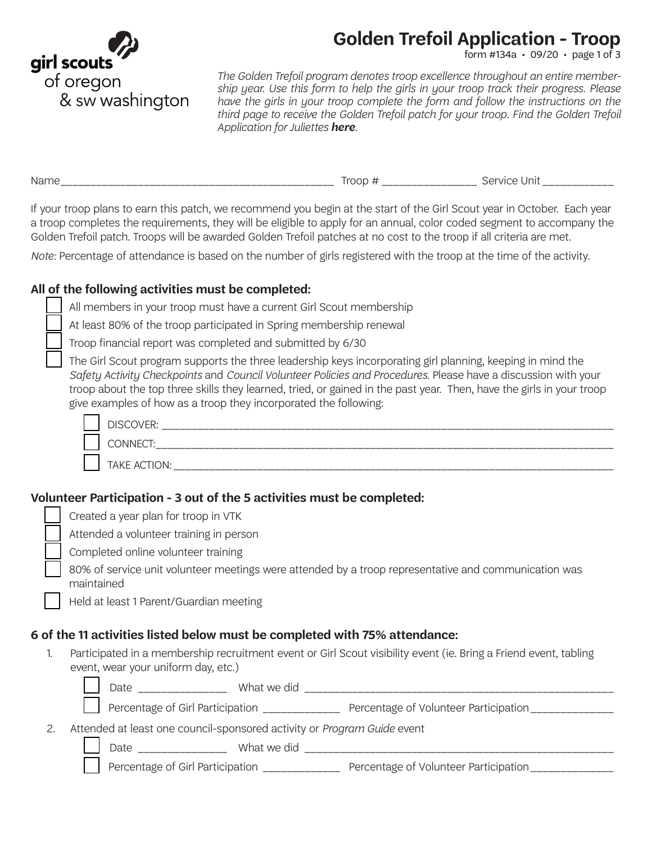

## **Golden Trefoil Application - Troop**

form #134a • 09/20 • page 1 of 3

*The Golden Trefoil program denotes troop excellence throughout an entire membership year. Use this form to help the girls in your troop track their progress. Please*  have the girls in your troop complete the form and follow the instructions on the *third page to receive the Golden Trefoil patch for your troop. Find the Golden Trefoil Application for Juliettes [here](https://www.girlscoutsosw.org/en/our-council/forms---documents.html).*

Name\_\_\_\_\_\_\_\_\_\_\_\_\_\_\_\_\_\_\_\_\_\_\_\_\_\_\_\_\_\_\_\_\_\_\_\_\_\_\_\_\_\_\_\_\_\_ Troop # \_\_\_\_\_\_\_\_\_\_\_\_\_\_\_\_ Service Unit \_\_\_\_\_\_\_\_\_\_\_\_

If your troop plans to earn this patch, we recommend you begin at the start of the Girl Scout year in October. Each year a troop completes the requirements, they will be eligible to apply for an annual, color coded segment to accompany the Golden Trefoil patch. Troops will be awarded Golden Trefoil patches at no cost to the troop if all criteria are met.

*Note:* Percentage of attendance is based on the number of girls registered with the troop at the time of the activity.

#### **All of the following activities must be completed:**

All members in your troop must have a current Girl Scout membership

At least 80% of the troop participated in Spring membership renewal

Troop financial report was completed and submitted by 6/30

 The Girl Scout program supports the three leadership keys incorporating girl planning, keeping in mind the *[Safety Activity Checkpoints](https://www.girlscoutsosw.org/content/dam/oregon-sw-washington-/forms/safety.pdf)* and *[Council Volunteer Policies and Procedures](https://www.girlscoutsosw.org/content/dam/oregon-sw-washington-/forms/Volunteer_Essentials.pdf)*. Please have a discussion with your troop about the top three skills they learned, tried, or gained in the past year. Then, have the girls in your troop give examples of how as a troop they incorporated the following:

| <b>DISCOVER</b><br>– • •<br>__ |
|--------------------------------|
| ____                           |
| TAKE AC.<br>л.                 |

#### **Volunteer Participation - 3 out of the 5 activities must be completed:**

| Created a year plan for troop in VTK |  |  |  |
|--------------------------------------|--|--|--|
|--------------------------------------|--|--|--|

Attended a volunteer training in person

Completed online volunteer training

 80% of service unit volunteer meetings were attended by a troop representative and communication was maintained

Held at least 1 Parent/Guardian meeting

#### **6 of the 11 activities listed below must be completed with 75% attendance:**

1. Participated in a membership recruitment event or Girl Scout visibility event (ie. Bring a Friend event, tabling event, wear your uniform day, etc.)



Date the contraction what we did  $\blacksquare$ 

Percentage of Girl Participation \_\_\_\_\_\_\_\_\_\_\_\_\_\_\_\_ Percentage of Volunteer Participation \_\_\_\_\_\_\_\_\_\_\_\_

2. Attended at least one council-sponsored activity or *Program Guide* event

Date \_\_\_\_\_\_\_\_\_\_\_\_\_\_\_ What we did \_\_\_\_\_\_\_\_\_\_\_\_\_\_\_\_\_\_\_\_\_\_\_\_\_\_\_\_\_\_\_\_\_\_\_\_\_\_\_\_\_\_\_\_\_\_\_\_\_\_\_\_

Percentage of Girl Participation \_\_\_\_\_\_\_\_\_\_\_\_\_\_\_\_ Percentage of Volunteer Participation \_\_\_\_\_\_\_\_\_\_\_\_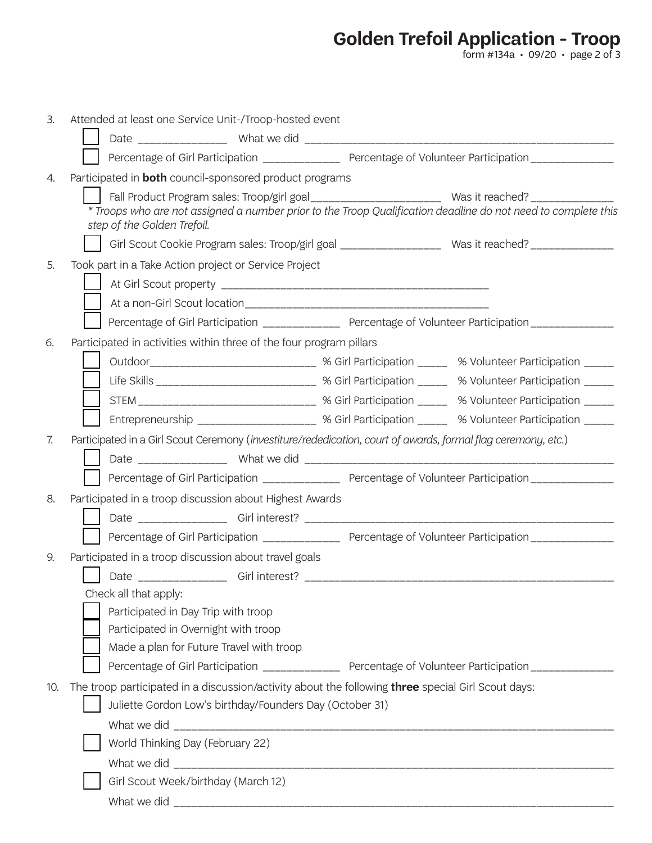**Golden Trefoil Application - Troop**

form #134a • 09/20 • page 2 of 3

| 3.  | Attended at least one Service Unit-/Troop-hosted event                                                        |                                                                                                                |                                                                                                               |  |  |
|-----|---------------------------------------------------------------------------------------------------------------|----------------------------------------------------------------------------------------------------------------|---------------------------------------------------------------------------------------------------------------|--|--|
|     |                                                                                                               |                                                                                                                |                                                                                                               |  |  |
|     |                                                                                                               | Percentage of Girl Participation _______________ Percentage of Volunteer Participation ____________            |                                                                                                               |  |  |
| 4.  | Participated in <b>both</b> council-sponsored product programs                                                |                                                                                                                |                                                                                                               |  |  |
|     |                                                                                                               |                                                                                                                |                                                                                                               |  |  |
|     | step of the Golden Trefoil.                                                                                   |                                                                                                                | * Troops who are not assigned a number prior to the Troop Qualification deadline do not need to complete this |  |  |
|     |                                                                                                               | Girl Scout Cookie Program sales: Troop/girl goal ________________________________ Was it reached? ____________ |                                                                                                               |  |  |
| 5.  | Took part in a Take Action project or Service Project                                                         |                                                                                                                |                                                                                                               |  |  |
|     |                                                                                                               |                                                                                                                |                                                                                                               |  |  |
|     |                                                                                                               |                                                                                                                |                                                                                                               |  |  |
|     | Percentage of Girl Participation ________________ Percentage of Volunteer Participation ___________           |                                                                                                                |                                                                                                               |  |  |
| 6.  | Participated in activities within three of the four program pillars                                           |                                                                                                                |                                                                                                               |  |  |
|     |                                                                                                               |                                                                                                                | Outdoor________________________________ % Girl Participation _____ % Volunteer Participation _____            |  |  |
|     |                                                                                                               | Life Skills _______________________________ % Girl Participation _____ % Volunteer Participation _____         |                                                                                                               |  |  |
|     |                                                                                                               | STEM _________________________________ % Girl Participation _____ % Volunteer Participation _____              |                                                                                                               |  |  |
|     |                                                                                                               |                                                                                                                | Entrepreneurship _____________________ % Girl Participation _____ % Volunteer Participation _____             |  |  |
| 7.  | Participated in a Girl Scout Ceremony (investiture/rededication, court of awards, formal flag ceremony, etc.) |                                                                                                                |                                                                                                               |  |  |
|     |                                                                                                               |                                                                                                                |                                                                                                               |  |  |
|     |                                                                                                               |                                                                                                                | Percentage of Girl Participation _______________ Percentage of Volunteer Participation ____________           |  |  |
| 8.  | Participated in a troop discussion about Highest Awards                                                       |                                                                                                                |                                                                                                               |  |  |
|     |                                                                                                               |                                                                                                                |                                                                                                               |  |  |
|     | Percentage of Girl Participation _______________ Percentage of Volunteer Participation ____________           |                                                                                                                |                                                                                                               |  |  |
| 9.  | Participated in a troop discussion about travel goals                                                         |                                                                                                                |                                                                                                               |  |  |
|     |                                                                                                               |                                                                                                                |                                                                                                               |  |  |
|     | Check all that apply:                                                                                         |                                                                                                                |                                                                                                               |  |  |
|     | Participated in Day Trip with troop                                                                           |                                                                                                                |                                                                                                               |  |  |
|     | Participated in Overnight with troop                                                                          |                                                                                                                |                                                                                                               |  |  |
|     | Made a plan for Future Travel with troop                                                                      |                                                                                                                |                                                                                                               |  |  |
|     |                                                                                                               | Percentage of Girl Participation ________________ Percentage of Volunteer Participation ___________            |                                                                                                               |  |  |
| 10. | The troop participated in a discussion/activity about the following three special Girl Scout days:            |                                                                                                                |                                                                                                               |  |  |
|     | Juliette Gordon Low's birthday/Founders Day (October 31)                                                      |                                                                                                                |                                                                                                               |  |  |
|     | World Thinking Day (February 22)                                                                              |                                                                                                                |                                                                                                               |  |  |
|     |                                                                                                               |                                                                                                                |                                                                                                               |  |  |
|     | Girl Scout Week/birthday (March 12)                                                                           |                                                                                                                |                                                                                                               |  |  |
|     |                                                                                                               |                                                                                                                |                                                                                                               |  |  |
|     |                                                                                                               |                                                                                                                |                                                                                                               |  |  |